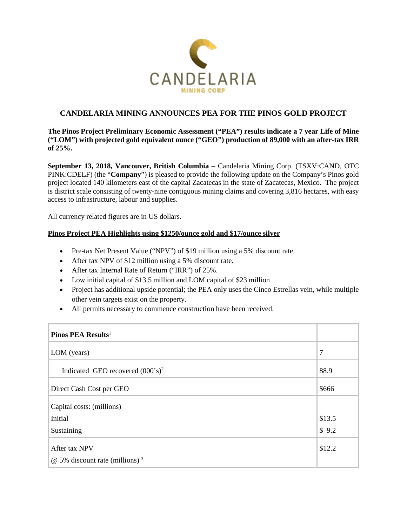

# **CANDELARIA MINING ANNOUNCES PEA FOR THE PINOS GOLD PROJECT**

## **The Pinos Project Preliminary Economic Assessment ("PEA") results indicate a 7 year Life of Mine ("LOM") with projected gold equivalent ounce ("GEO") production of 89,000 with an after-tax IRR of 25%.**

**September 13, 2018, Vancouver, British Columbia –** Candelaria Mining Corp. (TSXV:CAND, OTC PINK:CDELF) (the "**Company**") is pleased to provide the following update on the Company's Pinos gold project located 140 kilometers east of the capital Zacatecas in the state of Zacatecas, Mexico. The project is district scale consisting of twenty-nine contiguous mining claims and covering 3,816 hectares, with easy access to infrastructure, labour and supplies.

All currency related figures are in US dollars.

## **Pinos Project PEA Highlights using \$1250/ounce gold and \$17/ounce silver**

- Pre-tax Net Present Value ("NPV") of \$19 million using a 5% discount rate.
- After tax NPV of \$12 million using a 5% discount rate.
- After tax Internal Rate of Return ("IRR") of 25%.
- Low initial capital of \$13.5 million and LOM capital of \$23 million
- Project has additional upside potential; the PEA only uses the Cinco Estrellas vein, while multiple other vein targets exist on the property.
- All permits necessary to commence construction have been received.

| Pinos PEA Results <sup>1</sup>                    |        |
|---------------------------------------------------|--------|
| LOM (years)                                       | 7      |
| Indicated GEO recovered $(000 \text{ s})^2$       | 88.9   |
| Direct Cash Cost per GEO                          | \$666  |
| Capital costs: (millions)                         |        |
| Initial                                           | \$13.5 |
| Sustaining                                        | \$9.2  |
| After tax NPV                                     | \$12.2 |
| $\omega$ 5% discount rate (millions) <sup>3</sup> |        |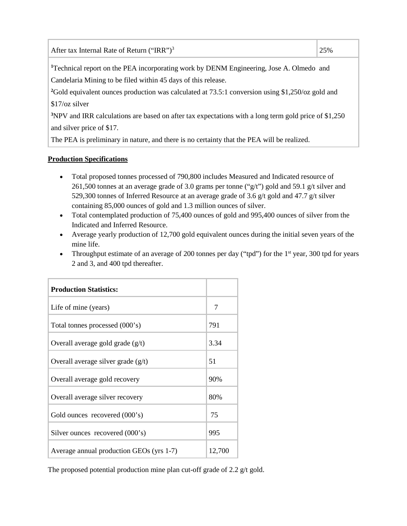| After tax Internal Rate of Return ("IRR") <sup>3</sup>                                        | 25% |
|-----------------------------------------------------------------------------------------------|-----|
| $1T$ colored account on the DEA incomposition weak for DEMM Engineering. Less A. Olmesta, and |     |

<sup>1</sup>Technical report on the PEA incorporating work by DENM Engineering, Jose A. Olmedo and Candelaria Mining to be filed within 45 days of this release.

<sup>2</sup>Gold equivalent ounces production was calculated at 73.5:1 conversion using \$1,250/oz gold and \$17/oz silver

**3** NPV and IRR calculations are based on after tax expectations with a long term gold price of \$1,250 and silver price of \$17.

The PEA is preliminary in nature, and there is no certainty that the PEA will be realized.

# **Production Specifications**

- Total proposed tonnes processed of 790,800 includes Measured and Indicated resource of 261,500 tonnes at an average grade of 3.0 grams per tonne ("g/t") gold and 59.1 g/t silver and 529,300 tonnes of Inferred Resource at an average grade of 3.6 g/t gold and 47.7 g/t silver containing 85,000 ounces of gold and 1.3 million ounces of silver.
- Total contemplated production of 75,400 ounces of gold and 995,400 ounces of silver from the Indicated and Inferred Resource.
- Average yearly production of 12,700 gold equivalent ounces during the initial seven years of the mine life.
- Throughput estimate of an average of 200 tonnes per day ("tpd") for the  $1<sup>st</sup>$  year, 300 tpd for years 2 and 3, and 400 tpd thereafter.

| <b>Production Statistics:</b>            |        |
|------------------------------------------|--------|
| Life of mine (years)                     | 7      |
| Total tonnes processed (000's)           | 791    |
| Overall average gold grade $(g/t)$       | 3.34   |
| Overall average silver grade $(g/t)$     | 51     |
| Overall average gold recovery            | 90%    |
| Overall average silver recovery          | 80%    |
| Gold ounces recovered (000's)            | 75     |
| Silver ounces recovered (000's)          | 995    |
| Average annual production GEOs (yrs 1-7) | 12,700 |

The proposed potential production mine plan cut-off grade of 2.2 g/t gold.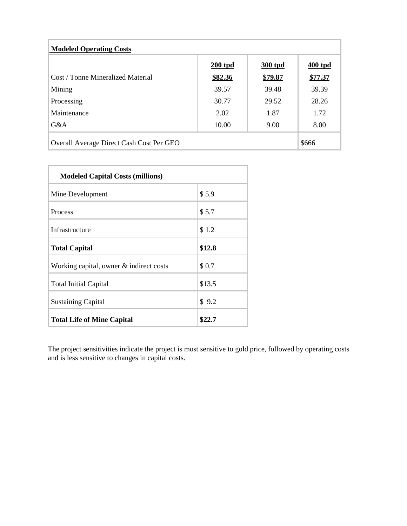| <b>Modeled Operating Costs</b>           |           |         |         |  |  |
|------------------------------------------|-----------|---------|---------|--|--|
|                                          | $200$ tpd | 300 tpd | 400 tpd |  |  |
| Cost / Tonne Mineralized Material        | \$82.36   | \$79.87 | \$77.37 |  |  |
| Mining                                   | 39.57     | 39.48   | 39.39   |  |  |
| Processing                               | 30.77     | 29.52   | 28.26   |  |  |
| Maintenance                              | 2.02      | 1.87    | 1.72    |  |  |
| G&A                                      | 10.00     | 9.00    | 8.00    |  |  |
| Overall Average Direct Cash Cost Per GEO |           |         |         |  |  |

| <b>Modeled Capital Costs (millions)</b>    |        |  |  |  |
|--------------------------------------------|--------|--|--|--|
| Mine Development                           | \$5.9  |  |  |  |
| Process                                    | \$5.7  |  |  |  |
| Infrastructure                             | \$1.2  |  |  |  |
| <b>Total Capital</b>                       | \$12.8 |  |  |  |
| Working capital, owner $\&$ indirect costs | \$0.7  |  |  |  |
| <b>Total Initial Capital</b>               | \$13.5 |  |  |  |
| <b>Sustaining Capital</b>                  | \$9.2  |  |  |  |
| <b>Total Life of Mine Capital</b>          | \$22.7 |  |  |  |

The project sensitivities indicate the project is most sensitive to gold price, followed by operating costs and is less sensitive to changes in capital costs.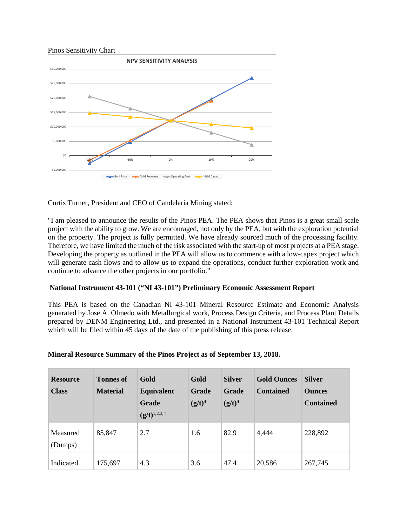

Curtis Turner, President and CEO of Candelaria Mining stated:

"I am pleased to announce the results of the Pinos PEA. The PEA shows that Pinos is a great small scale project with the ability to grow. We are encouraged, not only by the PEA, but with the exploration potential on the property. The project is fully permitted. We have already sourced much of the processing facility. Therefore, we have limited the much of the risk associated with the start-up of most projects at a PEA stage. Developing the property as outlined in the PEA will allow us to commence with a low-capex project which will generate cash flows and to allow us to expand the operations, conduct further exploration work and continue to advance the other projects in our portfolio."

### **National Instrument 43-101 ("NI 43-101") Preliminary Economic Assessment Report**

This PEA is based on the Canadian NI 43-101 Mineral Resource Estimate and Economic Analysis generated by Jose A. Olmedo with Metallurgical work, Process Design Criteria, and Process Plant Details prepared by DENM Engineering Ltd., and presented in a National Instrument 43-101 Technical Report which will be filed within 45 days of the date of the publishing of this press release.

| <b>Resource</b><br><b>Class</b> | <b>Tonnes of</b><br><b>Material</b> | Gold<br>Equivalent<br>Grade<br>$(g/t)^{1,2,3,4}$ | Gold<br><b>Grade</b><br>$(g/t)^4$ | <b>Silver</b><br>Grade<br>$(g/t)^4$ | <b>Gold Ounces</b><br><b>Contained</b> | <b>Silver</b><br><b>Ounces</b><br><b>Contained</b> |
|---------------------------------|-------------------------------------|--------------------------------------------------|-----------------------------------|-------------------------------------|----------------------------------------|----------------------------------------------------|
| Measured<br>(Dumps)             | 85,847                              | 2.7                                              | 1.6                               | 82.9                                | 4,444                                  | 228,892                                            |
| Indicated                       | 175,697                             | 4.3                                              | 3.6                               | 47.4                                | 20,586                                 | 267,745                                            |

### **Mineral Resource Summary of the Pinos Project as of September 13, 2018.**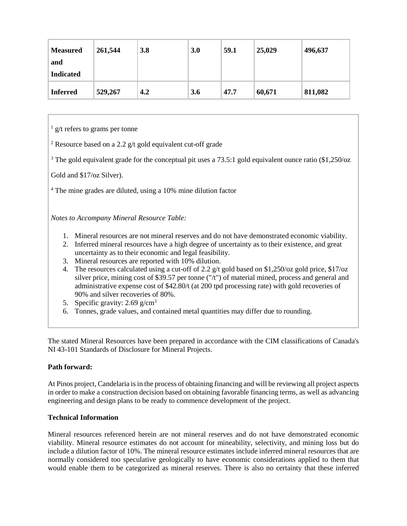| <b>Measured</b><br>and<br><b>Indicated</b> | 261,544 | 3.8 | 3.0 | 59.1 | 25,029 | 496,637 |
|--------------------------------------------|---------|-----|-----|------|--------|---------|
| <b>Inferred</b>                            | 529,267 | 4.2 | 3.6 | 47.7 | 60,671 | 811,082 |

 $\frac{1}{2}$  g/t refers to grams per tonne

<sup>2</sup> Resource based on a 2.2 g/t gold equivalent cut-off grade

<sup>3</sup> The gold equivalent grade for the conceptual pit uses a 73.5:1 gold equivalent ounce ratio (\$1,250/oz

Gold and \$17/oz Silver).

<sup>4</sup> The mine grades are diluted, using a 10% mine dilution factor

*Notes to Accompany Mineral Resource Table:*

- 1. Mineral resources are not mineral reserves and do not have demonstrated economic viability.
- 2. Inferred mineral resources have a high degree of uncertainty as to their existence, and great uncertainty as to their economic and legal feasibility.
- 3. Mineral resources are reported with 10% dilution.
- 4. The resources calculated using a cut-off of 2.2 g/t gold based on \$1,250/oz gold price, \$17/oz silver price, mining cost of \$39.57 per tonne ("/t") of material mined, process and general and administrative expense cost of \$42.80/t (at 200 tpd processing rate) with gold recoveries of 90% and silver recoveries of 80%.
- 5. Specific gravity: 2.69 g/cm3
- 6. Tonnes, grade values, and contained metal quantities may differ due to rounding.

The stated Mineral Resources have been prepared in accordance with the CIM classifications of Canada's NI 43-101 Standards of Disclosure for Mineral Projects.

### **Path forward:**

At Pinos project, Candelaria is in the process of obtaining financing and will be reviewing all project aspects in order to make a construction decision based on obtaining favorable financing terms, as well as advancing engineering and design plans to be ready to commence development of the project.

### **Technical Information**

Mineral resources referenced herein are not mineral reserves and do not have demonstrated economic viability. Mineral resource estimates do not account for mineability, selectivity, and mining loss but do include a dilution factor of 10%. The mineral resource estimates include inferred mineral resources that are normally considered too speculative geologically to have economic considerations applied to them that would enable them to be categorized as mineral reserves. There is also no certainty that these inferred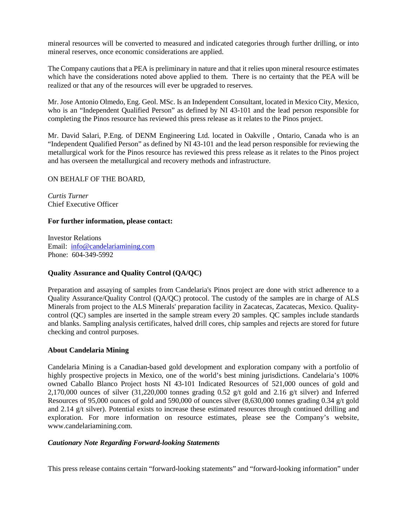mineral resources will be converted to measured and indicated categories through further drilling, or into mineral reserves, once economic considerations are applied.

The Company cautions that a PEA is preliminary in nature and that it relies upon mineral resource estimates which have the considerations noted above applied to them. There is no certainty that the PEA will be realized or that any of the resources will ever be upgraded to reserves.

Mr. Jose Antonio Olmedo, Eng. Geol. MSc. Is an Independent Consultant, located in Mexico City, Mexico, who is an "Independent Qualified Person" as defined by NI 43-101 and the lead person responsible for completing the Pinos resource has reviewed this press release as it relates to the Pinos project.

Mr. David Salari, P.Eng. of DENM Engineering Ltd. located in Oakville , Ontario, Canada who is an "Independent Qualified Person" as defined by NI 43-101 and the lead person responsible for reviewing the metallurgical work for the Pinos resource has reviewed this press release as it relates to the Pinos project and has overseen the metallurgical and recovery methods and infrastructure.

### ON BEHALF OF THE BOARD,

*Curtis Turner* Chief Executive Officer

#### **For further information, please contact:**

Investor Relations Email: [info@candelariamining.com](mailto:contact@candelariamining.com) Phone: 604-349-5992

### **Quality Assurance and Quality Control (QA/QC)**

Preparation and assaying of samples from Candelaria's Pinos project are done with strict adherence to a Quality Assurance/Quality Control (QA/QC) protocol. The custody of the samples are in charge of ALS Minerals from project to the ALS Minerals' preparation facility in Zacatecas, Zacatecas, Mexico. Qualitycontrol (QC) samples are inserted in the sample stream every 20 samples. QC samples include standards and blanks. Sampling analysis certificates, halved drill cores, chip samples and rejects are stored for future checking and control purposes.

### **About Candelaria Mining**

Candelaria Mining is a Canadian-based gold development and exploration company with a portfolio of highly prospective projects in Mexico, one of the world's best mining jurisdictions. Candelaria's 100% owned Caballo Blanco Project hosts NI 43-101 Indicated Resources of 521,000 ounces of gold and 2,170,000 ounces of silver  $(31,220,000)$  tonnes grading 0.52 g/t gold and 2.16 g/t silver) and Inferred Resources of 95,000 ounces of gold and 590,000 of ounces silver (8,630,000 tonnes grading 0.34 g/t gold and 2.14 g/t silver). Potential exists to increase these estimated resources through continued drilling and exploration. For more information on resource estimates, please see the Company's website, www.candelariamining.com.

#### *Cautionary Note Regarding Forward-looking Statements*

This press release contains certain "forward-looking statements" and "forward-looking information" under